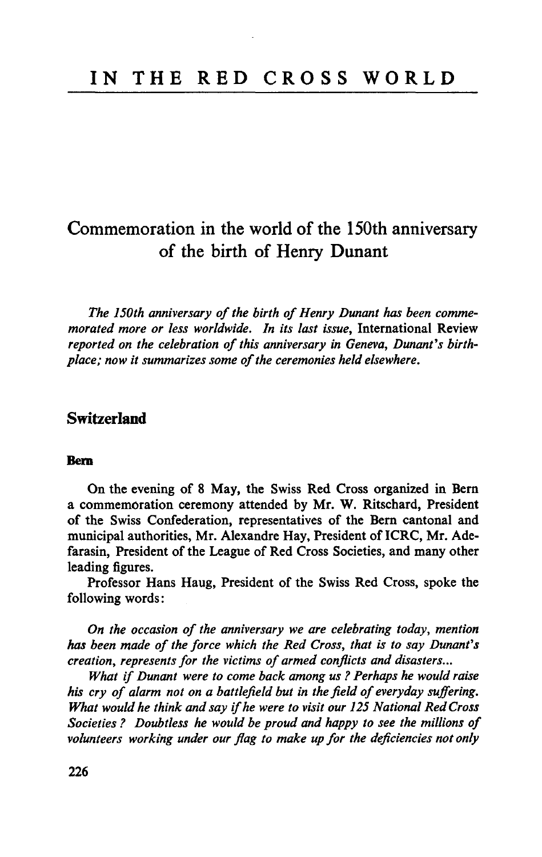# Commemoration in the world of the 150th anniversary of the birth of Henry Dunant

*The 150th anniversary of the birth of Henry Dunant has been commemorated more or less worldwide. In its last issue,* International Review *reported on the celebration of this anniversary in Geneva, Dunant's birthplace; now it summarizes some of the ceremonies held elsewhere.*

### **Switzerland**

#### Bern

On the evening of 8 May, the Swiss Red Cross organized in Bern a commemoration ceremony attended by Mr. W. Ritschard, President of the Swiss Confederation, representatives of the Bern cantonal and municipal authorities, Mr. Alexandre Hay, President of ICRC, Mr. Adefarasin, President of the League of Red Cross Societies, and many other leading figures.

Professor Hans Haug, President of the Swiss Red Cross, spoke the following words:

*On the occasion of the anniversary we are celebrating today, mention has been made of the force which the Red Cross, that is to say Dunant's creation, represents for the victims of armed conflicts and disasters...*

*What if Dunant were to come back among us ? Perhaps he would raise his cry of alarm not on a battlefield but in the field of everyday suffering. What would he think and say if he were to visit our 125 National Red Cross Societies ? Doubtless he would be proud and happy to see the millions of volunteers working under our flag to make up for the deficiencies not only*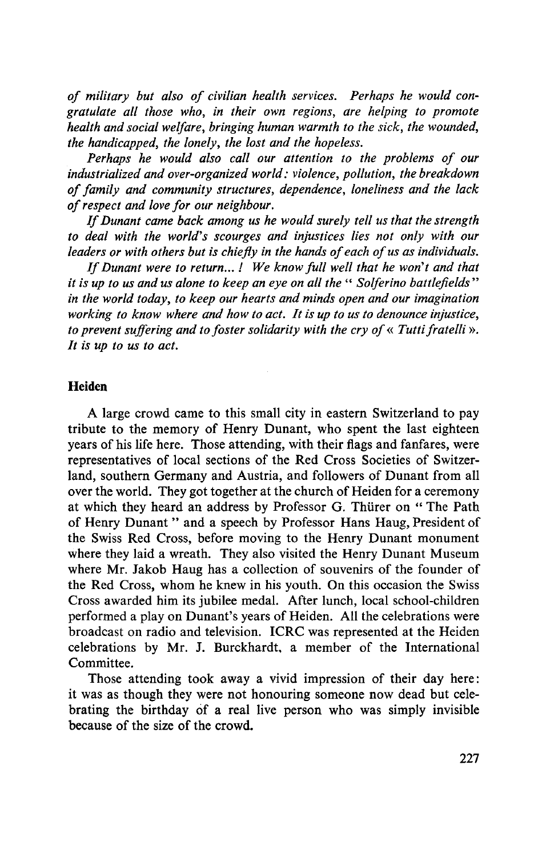*of military but also of civilian health services. Perhaps he would congratulate all those who, in their own regions, are helping to promote health and social welfare, bringing human warmth to the sick, the wounded, the handicapped, the lonely, the lost and the hopeless.*

*Perhaps he would also call our attention to the problems of our industrialized and over-organized world: violence, pollution, the breakdown of family and community structures, dependence, loneliness and the lack of respect and love for our neighbour.*

*If Dunant came back among us he would surely tell us that the strength to deal with the world's scourges and injustices lies not only with our leaders or with others but is chiefly in the hands of each of us as individuals.*

*If Dunant were to return... I We know full well that he won't and that it is up to us and us alone to keep an eye on all the* " *Solferino battlefields* " *in the world today, to keep our hearts and minds open and our imagination working to know where and how to act. It is up to us to denounce injustice, to prevent suffering and to foster solidarity with the cry of« Tutti fratelli*». *It is up to us to act.*

### Heiden

A large crowd came to this small city in eastern Switzerland to pay tribute to the memory of Henry Dunant, who spent the last eighteen years of his life here. Those attending, with their flags and fanfares, were representatives of local sections of the Red Cross Societies of Switzerland, southern Germany and Austria, and followers of Dunant from all over the world. They got together at the church of Heiden for a ceremony at which they heard an address by Professor G. Thiirer on " The Path of Henry Dunant " and a speech by Professor Hans Haug, President of the Swiss Red Cross, before moving to the Henry Dunant monument where they laid a wreath. They also visited the Henry Dunant Museum where Mr. Jakob Haug has a collection of souvenirs of the founder of the Red Cross, whom he knew in his youth. On this occasion the Swiss Cross awarded him its jubilee medal. After lunch, local school-children performed a play on Dunant's years of Heiden. All the celebrations were broadcast on radio and television. ICRC was represented at the Heiden celebrations by Mr. J. Burckhardt, a member of the International Committee.

Those attending took away a vivid impression of their day here: it was as though they were not honouring someone now dead but celebrating the birthday of a real live person who was simply invisible because of the size of the crowd.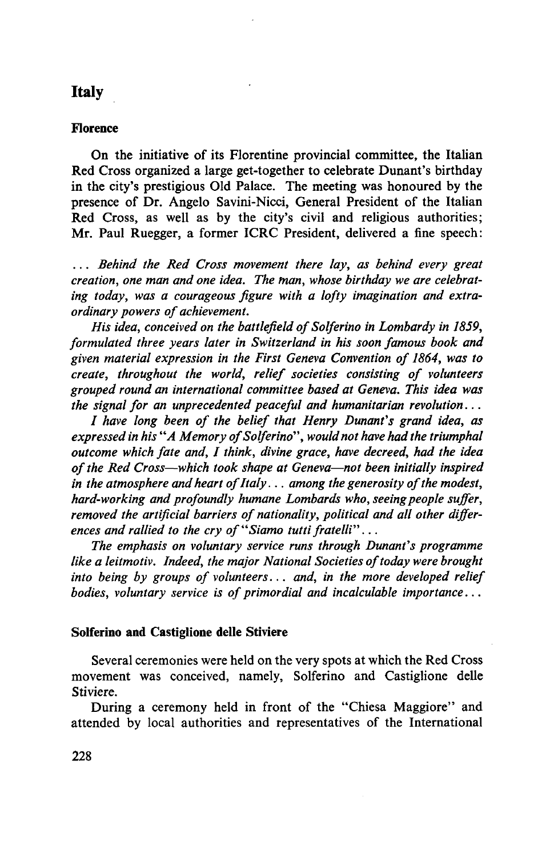### **Italy**

#### **Florence**

On the initiative of its Florentine provincial committee, the Italian Red Cross organized a large get-together to celebrate Dunant's birthday in the city's prestigious Old Palace. The meeting was honoured by the presence of Dr. Angelo Savini-Nicci, General President of the Italian Red Cross, as well as by the city's civil and religious authorities; Mr. Paul Ruegger, a former ICRC President, delivered a fine speech:

. . . *Behind the Red Cross movement there lay, as behind every great creation, one man and one idea. The man, whose birthday we are celebrating today, was a courageous figure with a lofty imagination and extraordinary powers of achievement.*

*His idea, conceived on the battlefield of Solferino in Lombardy in 1859, formulated three years later in Switzerland in his soon famous book and given material expression in the First Geneva Convention of 1864, was to create, throughout the world, relief societies consisting of volunteers grouped round an international committee based at Geneva. This idea was the signal for an unprecedented peaceful and humanitarian revolution...*

*I have long been of the belief that Henry Dunant's grand idea, as expressed in his "A Memory of Solferino", would not have had the triumphal outcome which fate and, I think, divine grace, have decreed, had the idea of the Red Cross*—*which took shape at Geneva*—*not been initially inspired in the atmosphere and heart of Italy... among the generosity of the modest, hard-working and profoundly humane Lombards who, seeing people suffer, removed the artificial barriers of nationality, political and all other differences and rallied to the cry of'Siamo tutti fratelli"...*

*The emphasis on voluntary service runs through Dunant's programme like a leitmotiv. Indeed, the major National Societies of today were brought into being by groups of volunteers... and, in the more developed relief bodies, voluntary service is of primordial and incalculable importance...*

#### **Solferino and Castiglione delle Stiviere**

Several ceremonies were held on the very spots at which the Red Cross movement was conceived, namely, Solferino and Castiglione delle Stiviere.

During a ceremony held in front of the "Chiesa Maggiore" and attended by local authorities and representatives of the International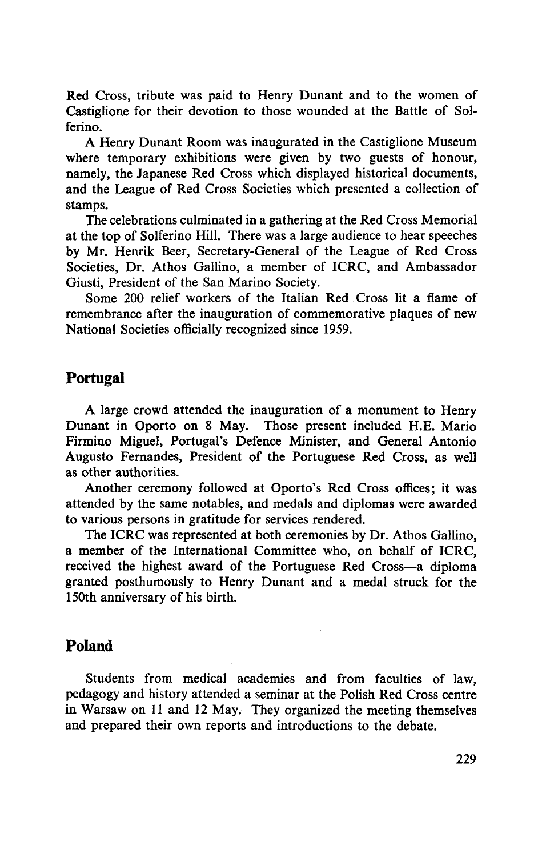Red Cross, tribute was paid to Henry Dunant and to the women of Castiglione for their devotion to those wounded at the Battle of Solferino.

A Henry Dunant Room was inaugurated in the Castiglione Museum where temporary exhibitions were given by two guests of honour, namely, the Japanese Red Cross which displayed historical documents, and the League of Red Cross Societies which presented a collection of stamps.

The celebrations culminated in a gathering at the Red Cross Memorial at the top of Solferino Hill. There was a large audience to hear speeches by Mr. Henrik Beer, Secretary-General of the League of Red Cross Societies, Dr. Athos Gallino, a member of ICRC, and Ambassador Giusti, President of the San Marino Society.

Some 200 relief workers of the Italian Red Cross lit a flame of remembrance after the inauguration of commemorative plaques of new National Societies officially recognized since 1959.

### **Portugal**

A large crowd attended the inauguration of a monument to Henry Dunant in Oporto on 8 May. Those present included H.E. Mario Firmino Miguel, Portugal's Defence Minister, and General Antonio Augusto Fernandes, President of the Portuguese Red Cross, as well as other authorities.

Another ceremony followed at Oporto's Red Cross offices; it was attended by the same notables, and medals and diplomas were awarded to various persons in gratitude for services rendered.

The ICRC was represented at both ceremonies by Dr. Athos Gallino, a member of the International Committee who, on behalf of ICRC, received the highest award of the Portuguese Red Cross—a diploma granted posthumously to Henry Dunant and a medal struck for the 150th anniversary of his birth.

## **Poland**

Students from medical academies and from faculties of law, pedagogy and history attended a seminar at the Polish Red Cross centre in Warsaw on 11 and 12 May. They organized the meeting themselves and prepared their own reports and introductions to the debate.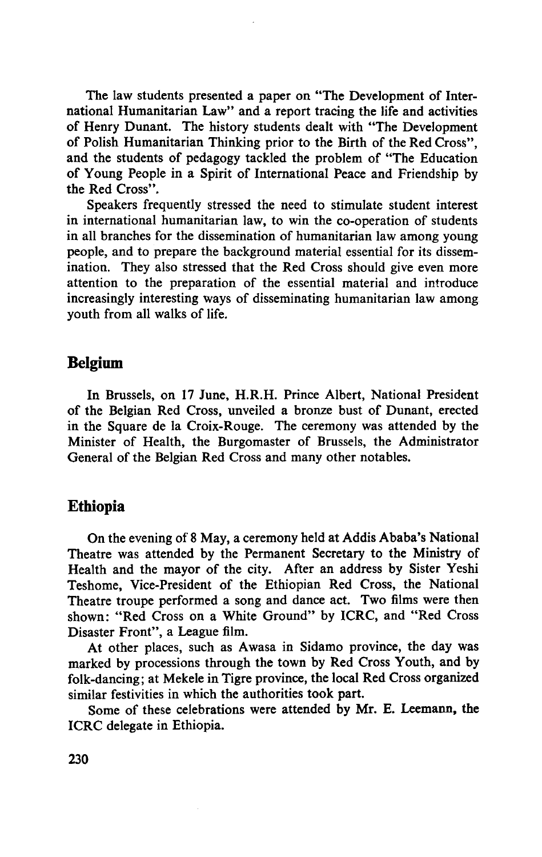The law students presented a paper on "The Development of International Humanitarian Law" and a report tracing the life and activities of Henry Dunant. The history students dealt with "The Development of Polish Humanitarian Thinking prior to the Birth of the Red Cross", and the students of pedagogy tackled the problem of "The Education of Young People in a Spirit of International Peace and Friendship by the Red Cross".

Speakers frequently stressed the need to stimulate student interest in international humanitarian law, to win the co-operation of students in all branches for the dissemination of humanitarian law among young people, and to prepare the background material essential for its dissemination. They also stressed that the Red Cross should give even more attention to the preparation of the essential material and introduce increasingly interesting ways of disseminating humanitarian law among youth from all walks of life.

# **Belgium**

In Brussels, on 17 June, H.R.H. Prince Albert, National President of the Belgian Red Cross, unveiled a bronze bust of Dunant, erected in the Square de la Croix-Rouge. The ceremony was attended by the Minister of Health, the Burgomaster of Brussels, the Administrator General of the Belgian Red Cross and many other notables.

# **Ethiopia**

On the evening of 8 May, a ceremony held at Addis Ababa's National Theatre was attended by the Permanent Secretary to the Ministry of Health and the mayor of the city. After an address by Sister Yeshi Teshome, Vice-President of the Ethiopian Red Cross, the National Theatre troupe performed a song and dance act. Two films were then shown: "Red Cross on a White Ground" by ICRC, and "Red Cross Disaster Front", a League film.

At other places, such as Awasa in Sidamo province, the day was marked by processions through the town by Red Cross Youth, and by folk-dancing; at Mekele in Tigre province, the local Red Cross organized similar festivities in which the authorities took part.

Some of these celebrations were attended by Mr. E. Leemann, the ICRC delegate in Ethiopia.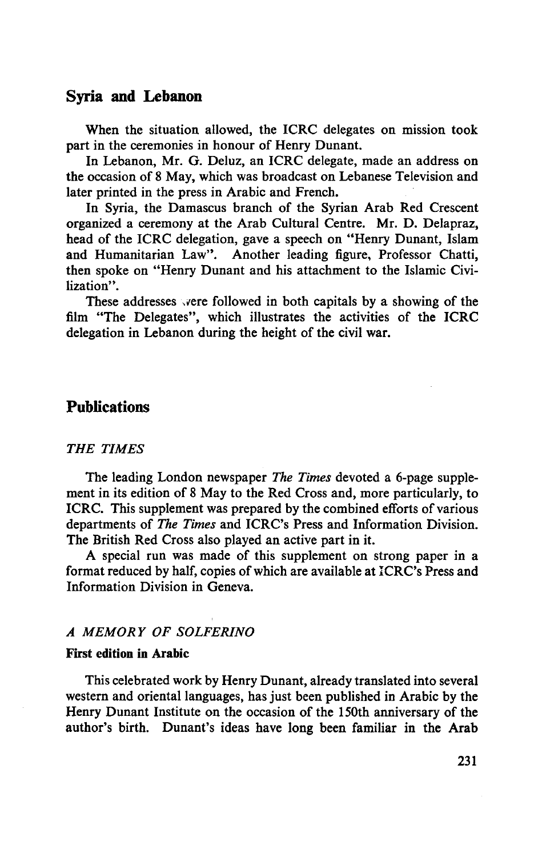# **Syria and Lebanon**

When the situation allowed, the ICRC delegates on mission took part in the ceremonies in honour of Henry Dunant.

In Lebanon, Mr. G. Deluz, an ICRC delegate, made an address on the occasion of 8 May, which was broadcast on Lebanese Television and later printed in the press in Arabic and French.

In Syria, the Damascus branch of the Syrian Arab Red Crescent organized a ceremony at the Arab Cultural Centre. Mr. D. Delapraz, head of the ICRC delegation, gave a speech on "Henry Dunant, Islam and Humanitarian Law". Another leading figure, Professor Chatti, then spoke on "Henry Dunant and his attachment to the Islamic Civilization".

These addresses were followed in both capitals by a showing of the film "The Delegates", which illustrates the activities of **the ICRC** delegation in Lebanon during the height of the civil war.

### **Publications**

### *THE TIMES*

The leading London newspaper *The Times* devoted a 6-page supplement in its edition of 8 May to the Red Cross and, more particularly, to ICRC. This supplement was prepared by the combined efforts of various departments of *The Times* and ICRC's Press and Information Division. The British Red Cross also played an active part in it.

A special run was made of this supplement on strong paper in a format reduced by half, copies of which are available **at** ICRC's Press and Information Division in Geneva.

### *A MEMORY OF SOLFERINO*

#### **First edition in Arabic**

This celebrated work by Henry Dunant, already translated into several western and oriental languages, has just been published in Arabic by the Henry Dunant Institute on the occasion of the 150th anniversary of the author's birth. Dunant's ideas have long been familiar in **the Arab**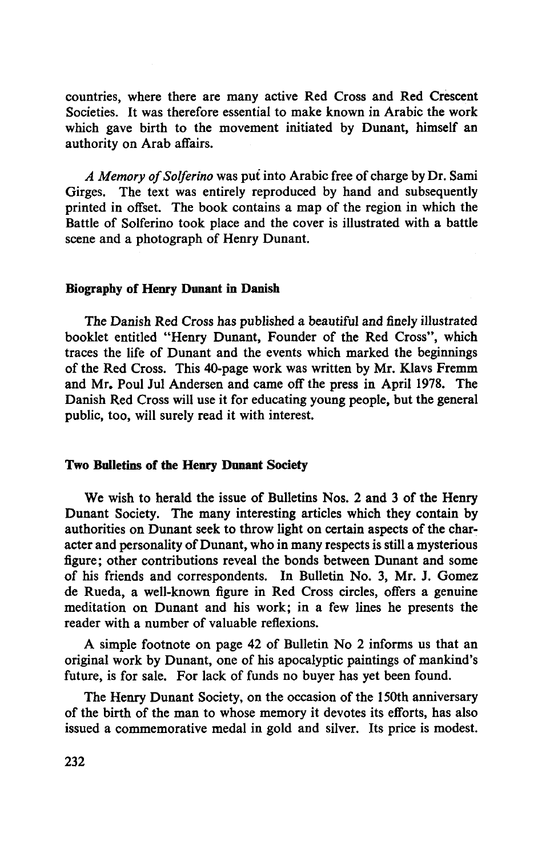countries, where there are many active Red Cross and Red Crescent Societies. It was therefore essential to make known in Arabic the work which gave birth to the movement initiated by Dunant, himself an authority on Arab affairs.

*A Memory of Solferino* was put into Arabic free of charge by Dr. Sami Girges. The text was entirely reproduced by hand and subsequently printed in offset. The book contains a map of the region in which the Battle of Solferino took place and the cover is illustrated with a battle scene and a photograph of Henry Dunant.

#### **Biography of Henry Dunant in Danish**

The Danish Red Cross has published a beautiful and finely illustrated booklet entitled "Henry Dunant, Founder of the Red Cross", which traces the life of Dunant and the events which marked the beginnings of the Red Cross. This 40-page work was written by Mr. Klavs Fremm and Mr. Poul Jul Andersen and came off the press in April 1978. The Danish Red Cross will use it for educating young people, but the general public, too, will surely read it with interest.

#### **Two Bulletins of the Henry Dunant Society**

We wish to herald the issue of Bulletins Nos. 2 and 3 of the Henry Dunant Society. The many interesting articles which they contain by authorities on Dunant seek to throw light on certain aspects of the character and personality of Dunant, who in many respects is still a mysterious figure; other contributions reveal the bonds between Dunant and some of his friends and correspondents. In Bulletin No. 3, Mr. J. Gomez de Rueda, a well-known figure in Red Cross circles, offers a genuine meditation on Dunant and his work; in a few lines he presents the reader with a number of valuable reflexions.

A simple footnote on page 42 of Bulletin No 2 informs us that an original work by Dunant, one of his apocalyptic paintings of mankind's future, is for sale. For lack of funds no buyer has yet been found.

The Henry Dunant Society, on the occasion of the 150th anniversary of the birth of the man to whose memory it devotes its efforts, has also issued a commemorative medal in gold and silver. Its price is modest.